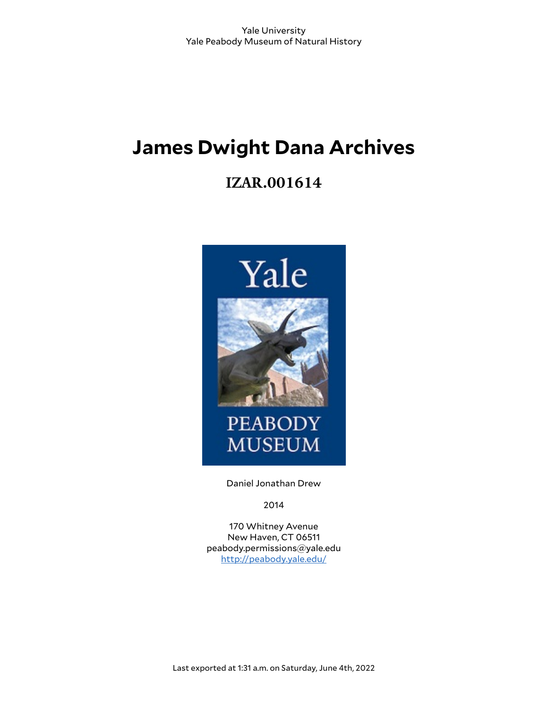# **James Dwight Dana Archives**

# **IZAR.001614**



Daniel Jonathan Drew

2014

170 Whitney Avenue New Haven, CT 06511 peabody.permissions@yale.edu <http://peabody.yale.edu/>

Last exported at 1:31 a.m. on Saturday, June 4th, 2022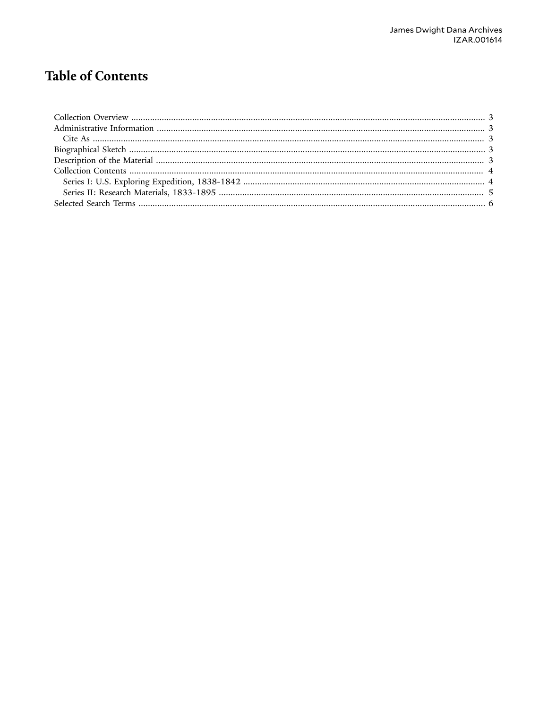# **Table of Contents**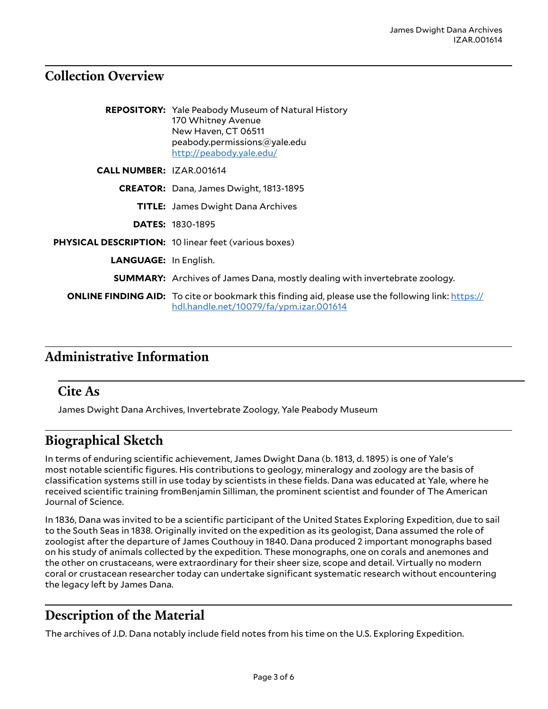#### <span id="page-2-0"></span>**Collection Overview**

|                                 | <b>REPOSITORY:</b> Yale Peabody Museum of Natural History<br>170 Whitney Avenue<br>New Haven, CT 06511<br>peabody.permissions@yale.edu<br>http://peabody.yale.edu/ |
|---------------------------------|--------------------------------------------------------------------------------------------------------------------------------------------------------------------|
| <b>CALL NUMBER: IZAR.001614</b> |                                                                                                                                                                    |
|                                 | <b>CREATOR:</b> Dana, James Dwight, 1813-1895                                                                                                                      |
|                                 | <b>TITLE:</b> James Dwight Dana Archives                                                                                                                           |
|                                 | <b>DATES: 1830-1895</b>                                                                                                                                            |
|                                 | <b>PHYSICAL DESCRIPTION: 10 linear feet (various boxes)</b>                                                                                                        |
| <b>LANGUAGE: In English.</b>    |                                                                                                                                                                    |
|                                 | <b>SUMMARY:</b> Archives of James Dana, mostly dealing with invertebrate zoology.                                                                                  |
|                                 | <b>ONLINE FINDING AID:</b> To cite or bookmark this finding aid, please use the following link: https://<br>hdl.handle.net/10079/fa/ypm.izar.001614                |

## <span id="page-2-1"></span>**Administrative Information**

#### <span id="page-2-2"></span>**Cite As**

James Dwight Dana Archives, Invertebrate Zoology, Yale Peabody Museum

### <span id="page-2-3"></span>**Biographical Sketch**

In terms of enduring scientific achievement, James Dwight Dana (b. 1813, d. 1895) is one of Yale's most notable scientific figures. His contributions to geology, mineralogy and zoology are the basis of classification systems still in use today by scientists in these fields. Dana was educated at Yale, where he received scientific training fromBenjamin Silliman, the prominent scientist and founder of The American Journal of Science.

In 1836, Dana was invited to be a scientific participant of the United States Exploring Expedition, due to sail to the South Seas in 1838. Originally invited on the expedition as its geologist, Dana assumed the role of zoologist after the departure of James Couthouy in 1840. Dana produced 2 important monographs based on his study of animals collected by the expedition. These monographs, one on corals and anemones and the other on crustaceans, were extraordinary for their sheer size, scope and detail. Virtually no modern coral or crustacean researcher today can undertake significant systematic research without encountering the legacy left by James Dana.

## <span id="page-2-4"></span>**Description of the Material**

The archives of J.D. Dana notably include field notes from his time on the U.S. Exploring Expedition.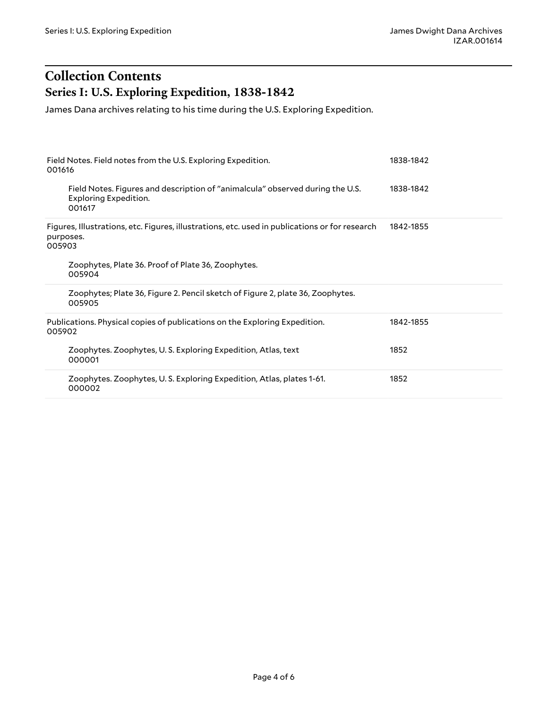## <span id="page-3-0"></span>**Collection Contents Series I: U.S. Exploring Expedition, 1838-1842**

<span id="page-3-1"></span>James Dana archives relating to his time during the U.S. Exploring Expedition.

| Field Notes. Field notes from the U.S. Exploring Expedition.<br>001616                                                  | 1838-1842 |
|-------------------------------------------------------------------------------------------------------------------------|-----------|
| Field Notes. Figures and description of "animalcula" observed during the U.S.<br><b>Exploring Expedition.</b><br>001617 | 1838-1842 |
| Figures, Illustrations, etc. Figures, illustrations, etc. used in publications or for research<br>purposes.<br>005903   | 1842-1855 |
| Zoophytes, Plate 36. Proof of Plate 36, Zoophytes.<br>005904                                                            |           |
| Zoophytes; Plate 36, Figure 2. Pencil sketch of Figure 2, plate 36, Zoophytes.<br>005905                                |           |
| Publications. Physical copies of publications on the Exploring Expedition.<br>005902                                    | 1842-1855 |
| Zoophytes. Zoophytes, U.S. Exploring Expedition, Atlas, text<br>000001                                                  | 1852      |
| Zoophytes. Zoophytes, U.S. Exploring Expedition, Atlas, plates 1-61.<br>000002                                          | 1852      |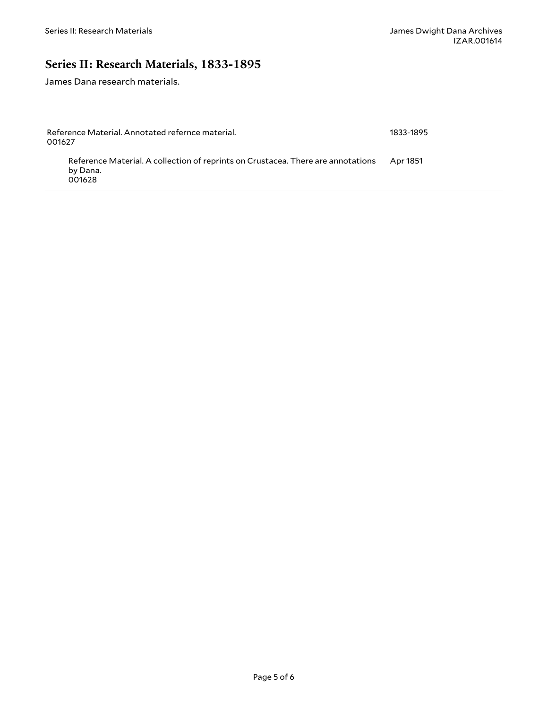## <span id="page-4-0"></span>**Series II: Research Materials, 1833-1895**

James Dana research materials.

| Reference Material. Annotated refernce material.<br>001627                                             |  |  |
|--------------------------------------------------------------------------------------------------------|--|--|
| Reference Material. A collection of reprints on Crustacea. There are annotations<br>by Dana.<br>001628 |  |  |